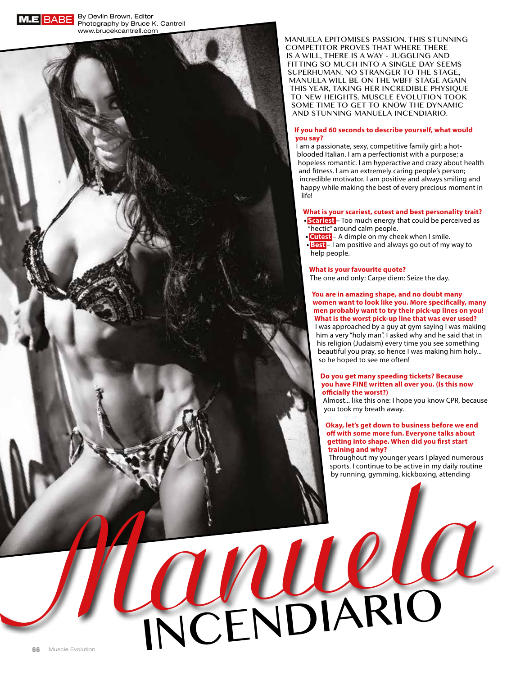

**M.E BABE** By Devlin Brown, Editor Photography by Bruce K. Cantrell www.brucekcantrell.com

> Manuela epItoMIses passIon. thIs stunnIng coMpetItor proves that where there Is a wIll, there Is a way - jugglIng and FITTING SO MUCH INTO A SINGLE DAY SEEMS superhuMan. no stranger to the stage, MANUELA WILL BE ON THE WBFF STAGE AGAIN thIs year, takIng her IncredIble physIque TO NEW HEIGHTS. MUSCLE EVOLUTION TOOK soMe tIMe to get to know the dynaMIc and stunnIng Manuela IncendIarIo.

# **If you had 60 seconds to describe yourself, what would you say?**

I am a passionate, sexy, competitive family girl; a hotblooded Italian. I am a perfectionist with a purpose; a hopeless romantic. I am hyperactive and crazy about health and fitness. I am an extremely caring people's person; incredible motivator. I am positive and always smiling and happy while making the best of every precious moment in life!

### **What is your scariest, cutest and best personality trait? Exariest** – Too much energy that could be perceived as

- "hectic" around calm people.
- **tCutest** A dimple on my cheek when I smile.
- **Best** I am positive and always go out of my way to help people.

# **What is your favourite quote?**

INCENDIARIO

The one and only: Carpe diem: Seize the day.

**You are in amazing shape, and no doubt many women want to look like you. More specifically, many men probably want to try their pick-up lines on you! What is the worst pick-up line that was ever used?** I was approached by a guy at gym saying I was making him a very "holy man". I asked why and he said that in his religion (Judaism) every time you see something beautiful you pray, so hence I was making him holy... so he hoped to see me often!

# **Do you get many speeding tickets? Because you have FINE written all over you. (Is this now o#cially the worst?)**

Almost... like this one: I hope you know CPR, because you took my breath away.

# **Okay, let's get down to business before we end o\$ with some more fun. Everyone talks about getting into shape. When did you "rst start training and why?**

Throughout my younger years I played numerous sports. I continue to be active in my daily routine by running, gymming, kickboxing, attending

**66** Muscle Evolution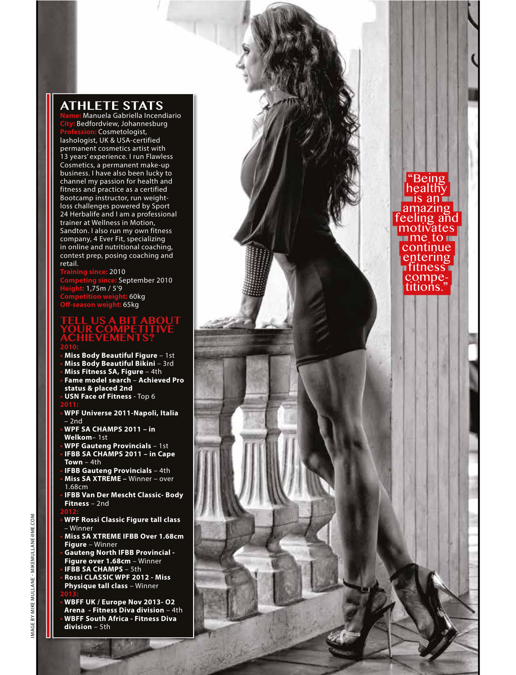# **Athlete stAts**

**Name:** Manuela Gabriella Incendiario **City:** Bedfordview, Johannesburg **Profession:** Cosmetologist, lashologist, UK & USA-certified permanent cosmetics artist with 13 years' experience. I run Flawless Cosmetics, a permanent make-up business. I have also been lucky to channel my passion for health and fitness and practice as a certified Bootcamp instructor, run weightloss challenges powered by Sport 24 Herbalife and I am a professional trainer at Wellness in Motion, Sandton. I also run my own fitness company, 4 Ever Fit, specializing in online and nutritional coaching, contest prep, posing coaching and retail.

**Training since:** 2010 **Competing since:** September 2010 **Height:** 1,75m / 5'9 **60kg O\$-season weight:** 65kg

# **ABOUT YOUR COMPETITIVE Achievements?**

- **t Miss Body Beautiful Figure** 1st
- **t Miss Body Beautiful Bikini** 3rd
- **t Miss Fitness SA, Figure** 4th
- **t Fame model search** – **Achieved Pro status & placed 2nd**
- **t USN Face of Fitness** Top 6 **2011:**
- **t WPF Universe 2011-Napoli, Italia** – 2nd
- **t WPF SA CHAMPS 2011 in Welkom**– 1st
- **t WPF Gauteng Provincials** 1st **t IFBB SA CHAMPS 2011 – in Cape**
- **Town**  4th **t IFBB Gauteng Provincials** – 4th
- **t Miss SA XTREME** Winner over 1.68cm
- **t IFBB Van Der Mescht Classic- Body Fitness** – 2nd

- **t WPF Rossi Classic Figure tall class** – Winner
- **t Miss SA XTREME IFBB Over 1.68cm Figure** – Winner
- **t Gauteng North IFBB Provincial Figure over 1.68cm** – Winner
- **IFBB SA CHAMPS** 5th **t Rossi CLASSIC WPF 2012 - Miss**
- **Physique tall class** Winner
- **t WBFF UK / Europe Nov 2013- O2 Arena - Fitness Diva division** – 4th **t WBFF South Africa - Fitness Diva division** – 5th

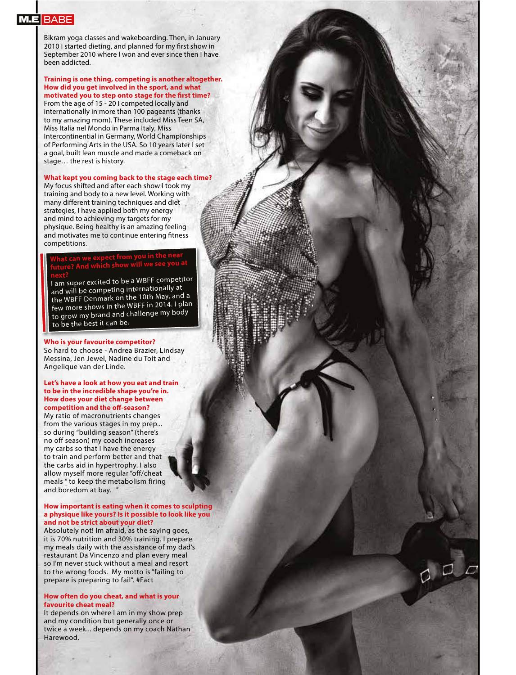Bikram yoga classes and wakeboarding. Then, in January 2010 I started dieting, and planned for my first show in September 2010 where I won and ever since then I have been addicted.

**Training is one thing, competing is another altogether. How did you get involved in the sport, and what motivated you to step onto stage for the first time?** From the age of 15 - 20 I competed locally and internationally in more than 100 pageants (thanks to my amazing mom). These included Miss Teen SA, Miss Italia nel Mondo in Parma Italy, Miss Intercontinential in Germany, World Championships of Performing Arts in the USA. So 10 years later I set a goal, built lean muscle and made a comeback on stage… the rest is history.

## **What kept you coming back to the stage each time?**

My focus shifted and after each show I took my training and body to a new level. Working with many different training techniques and diet strategies, I have applied both my energy and mind to achieving my targets for my physique. Being healthy is an amazing feeling and motivates me to continue entering fitness competitions.

# **What can we expect from you in the near future? And which show will we see you a<sup>t</sup>**

**next?** I am super excited to be a WBFF competitor and will be competing internationally at the WBFF Denmark on the 10th May, and a few more shows in the WBFF in 2014. I plan to grow my brand and challenge my body to be the best it can be.

# **Who is your favourite competitor?**

So hard to choose - Andrea Brazier, Lindsay Messina, Jen Jewel, Nadine du Toit and Angelique van der Linde.

## **Let's have a look at how you eat and train to be in the incredible shape you're in. How does your diet change between competition and the off-season?**

My ratio of macronutrients changes from the various stages in my prep... so during "building season" (there's no off season) my coach increases my carbs so that I have the energy to train and perform better and that the carbs aid in hypertrophy. I also allow myself more regular "off/cheat meals " to keep the metabolism firing and boredom at bay.

# **How important is eating when it comes to sculpting a physique like yours? Is it possible to look like you and not be strict about your diet?**

Absolutely not! Im afraid, as the saying goes, it is 70% nutrition and 30% training. I prepare my meals daily with the assistance of my dad's restaurant Da Vincenzo and plan every meal so I'm never stuck without a meal and resort to the wrong foods. My motto is "failing to prepare is preparing to fail". #Fact

## **How often do you cheat, and what is your favourite cheat meal?**

It depends on where I am in my show prep and my condition but generally once or twice a week... depends on my coach Nathan Harewood.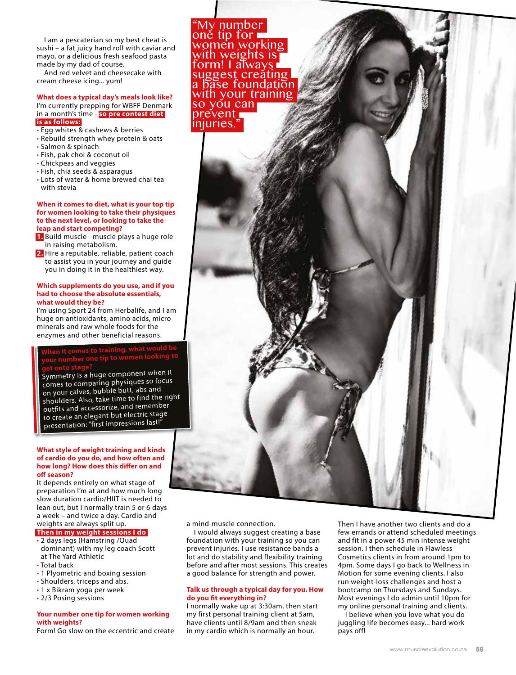I am a pescaterian so my best cheat is sushi – a fat juicy hand roll with caviar and mayo, or a delicious fresh seafood pasta made by my dad of course.

And red velvet and cheesecake with cream cheese icing... yum!

## **What does a typical day's meals look like?** I'm currently prepping for WBFF Denmark in a month's time - **so pre contest diet is as follows:**

- $\cdot$  Egg whites & cashews & berries
- Rebuild strength whey protein & oats
- Salmon & spinach
- Fish, pak choi & coconut oil
- Chickpeas and veggies
- Fish, chia seeds & asparagus
- Lots of water & home brewed chai tea with stevia

### **When it comes to diet, what is your top tip for women looking to take their physiques to the next level, or looking to take the leap and start competing?**

**1.** Build muscle - muscle plays a huge role in raising metabolism.

**2.** Hire a reputable, reliable, patient coach to assist you in your journey and guide you in doing it in the healthiest way.

### **Which supplements do you use, and if you had to choose the absolute essentials, what would they be?**

I'm using Sport 24 from Herbalife, and I am huge on antioxidants, amino acids, micro minerals and raw whole foods for the enzymes and other beneficial reasons.

# **When it comes to training, what would be your number one tip to women looking to**

**get onto stage?** Symmetry is a huge component when it comes to comparing physiques so focus on your calves, bubble butt, abs and shoulders. Also, take time to find the right outfits and accessorize, and remember to create an elegant but electric stage presentation: "first impressions last!"

# **What style of weight training and kinds of cardio do you do, and how often and how long? How does this differ on and off season?**

It depends entirely on what stage of preparation I'm at and how much long slow duration cardio/HIIT is needed to lean out, but I normally train 5 or 6 days a week – and twice a day. Cardio and weights are always split up.

# **Then in my weight sessions I do**

. 2 days legs (Hamstring /Quad

dominant) with my leg coach Scott at The Yard Athletic

- Total back
- 1 Plyometric and boxing session
- Shoulders, triceps and abs.
- 1 x Bikram yoga per week
- 2/3 Posing sessions

# **Your number one tip for women working with weights?**

Form! Go slow on the eccentric and create

I would always suggest creating a base foundation with your training so you can prevent injuries. I use resistance bands a lot and do stability and flexibility training before and after most sessions. This creates a good balance for strength and power.

# **Talk us through a typical day for you. How do you "t everything in?**

I normally wake up at 3:30am, then start my first personal training client at 5am, have clients until 8/9am and then sneak in my cardio which is normally an hour.

Then I have another two clients and do a few errands or attend scheduled meetings and fit in a power 45 min intense weight session. I then schedule in Flawless Cosmetics clients in from around 1pm to 4pm. Some days I go back to Wellness in Motion for some evening clients. I also run weight-loss challenges and host a bootcamp on Thursdays and Sundays. Most evenings I do admin until 10pm for my online personal training and clients.

I believe when you love what you do juggling life becomes easy... hard work pays off!



a mind-muscle connection.